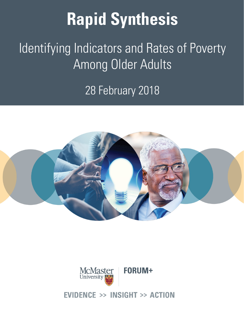# **Rapid Synthesis**

## Identifying Indicators and Rates of Poverty Among Older Adults

28 February 2018





#### **IDENCE >> INSIGHT >> ACTION** F١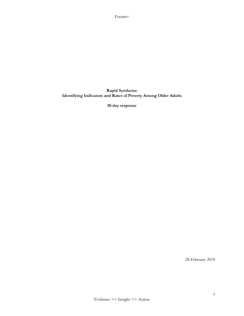#### **Rapid Synthesis: Identifying Indicators and Rates of Poverty Among Older Adults**

**10-day response**

28 February 2018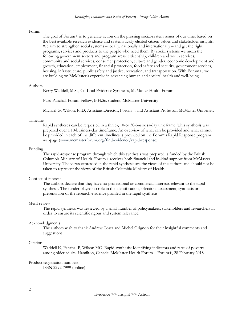The goal of Forum+ is to generate action on the pressing social-system issues of our time, based on the best available research evidence and systematically elicited citizen values and stakeholder insights. We aim to strengthen social systems – locally, nationally and internationally – and get the right programs, services and products to the people who need them. By social systems we mean the following government sectors and program areas: citizenship, children and youth services, community and social services, consumer protection, culture and gender, economic development and growth, education, employment, financial protection, food safety and security, government services, housing, infrastructure, public safety and justice, recreation, and transportation. With Forum+, we are building on McMaster's expertise in advancing human and societal health and well-being.

#### Authors

Kerry Waddell, M.Sc, Co-Lead Evidence Synthesis, McMaster Health Forum

Puru Panchal, Forum Fellow, B.H.Sc. student, McMaster University

Michael G. Wilson, PhD, Assistant Director, Forum+, and Assistant Professor, McMaster University

#### Timeline

Rapid syntheses can be requested in a three-, 10-or 30-business-day timeframe. This synthesis was prepared over a 10-business-day timeframe. An overview of what can be provided and what cannot be provided in each of the different timelines is provided on the Forum's Rapid Response program webpage (www.mcmasterforum.org/find-evidence/rapid-response).

#### Funding

The rapid-response program through which this synthesis was prepared is funded by the British Columbia Ministry of Health. Forum+ receives both financial and in-kind support from McMaster University. The views expressed in the rapid synthesis are the views of the authors and should not be taken to represent the views of the British Columbia Ministry of Health.

#### Conflict of interest

The authors declare that they have no professional or commercial interests relevant to the rapid synthesis. The funder played no role in the identification, selection, assessment, synthesis or presentation of the research evidence profiled in the rapid synthesis.

#### Merit review

The rapid synthesis was reviewed by a small number of policymakers, stakeholders and researchers in order to ensure its scientific rigour and system relevance.

#### Acknowledgments

The authors wish to thank Andrew Costa and Michel Grignon for their insightful comments and suggestions.

#### **C**itation

Waddell K, Panchal P, Wilson MG. Rapid synthesis: Identifying indicators and rates of poverty among older adults. Hamilton, Canada: McMaster Health Forum | Forum+, 28 February 2018.

#### Product registration numbers

ISSN 2292-7999 (online)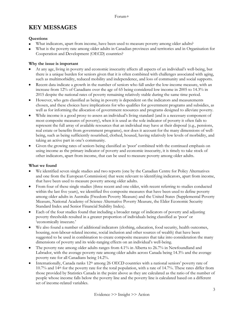## **KEY MESSAGES**

#### **Questions**

- What indicators, apart from income, have been used to measure poverty among older adults?
- What is the poverty rate among older adults in Canadian provinces and territories and in Organisation for Cooperation and Development (OECD) countries?

#### **Why the issue is important**

- At any age, living in poverty and economic insecurity affects all aspects of an individual's well-being, but there is a unique burden for seniors given that it is often combined with challenges associated with aging, such as multimorbidity, reduced mobility and independence, and loss of community and social supports.
- Recent data indicate a growth in the number of seniors who fall under the low-income measure, with an increase from 12% of Canadians over the age of 65 being considered low income in 2005 to 14.3% in 2015 despite the national rates of poverty remaining relatively stable during the same time period.
- However, who gets classified as being in poverty is dependent on the indicators and measurements chosen, and these choices have implications for who qualifies for government programs and subsidies, as well as for informing the allocation of government resources and programs designed to alleviate poverty.
- While income is a good proxy to assess an individual's living standard (and is a necessary component of most composite measures of poverty), when it is used as the sole indicator of poverty it often fails to represent the full array of available resources that an individual may have at their disposal (e.g., pensions, real estate or benefits from government programs), nor does it account for the many dimensions of wellbeing, such as being sufficiently nourished, clothed, housed, having relatively low levels of morbidity, and taking an active part in one's community.
- Given the growing rates of seniors being classified as 'poor' combined with the continued emphasis on using income as the primary indicator of poverty and economic insecurity, it is timely to take stock of other indicators, apart from income, that can be used to measure poverty among older adults.

#### **What we found**

- We identified seven single studies and two reports (one by the Canadian Centre for Policy Alternatives and one from the European Commission) that were relevant to identifying indicators, apart from income, that have been used to measure poverty among older adults.
- From four of these single studies (three recent and one older, with recent referring to studies conducted within the last five years), we identified five composite measures that have been used to define poverty among older adults in Australia (Freedom Poverty Measure) and the United States (Supplemental Poverty Measure, National Academy of Science Alternative Poverty Measure, the Elder Economic Security Standard Index and Senior Financial Stability Index).
- Each of the four studies found that including a broader range of indicators of poverty and adjusting poverty thresholds resulted in a greater proportion of individuals being classified as 'poor' or 'economically insecure.'
- We also found a number of additional indicators (clothing, education, food security, health outcomes, housing, non-labour-related income, social inclusion and other sources of wealth) that have been suggested to be used in combination to create composite measures that take into consideration the many dimensions of poverty and its wide-ranging effects on an individual's well-being.
- The poverty rate among older adults ranges from 4.1% in Alberta to 26.7% in Newfoundland and Labrador, with the average poverty rate among older adults across Canada being 14.3% and the average poverty rate for all Canadians being 14.2%.
- Internationally, Canada ranks 12th among 26 OECD countries with a national seniors' poverty rate of 10.7% and 14th for the poverty rate for the total population, with a rate of 14.7%. These rates differ from those provided by Statistics Canada in the point above as they are calculated as the ratio of the number of people whose income falls below the poverty line and the poverty line is calculated based on a different set of income-related variables.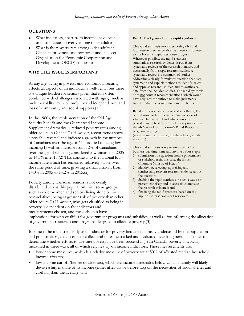#### **QUESTIONS**

- What indicators, apart from income, have been used to measure poverty among older adults?
- What is the poverty rate among older adults in Canadian provinces and territories and in select Organisation for Economic Cooperation and Development (OECD) countries?

#### **WHY THE ISSUE IS IMPORTANT**

At any age, living in poverty and economic insecurity affects all aspects of an individual's well-being, but there is a unique burden for seniors given that it is often combined with challenges associated with aging, such as multimorbidity, reduced mobility and independence, and loss of community and social supports.(1)

In the 1960s, the implementation of the Old Age Security benefit and the Guaranteed Income Supplement dramatically reduced poverty rates among older adults in Canada.(1) However, recent trends show a possible reversal and indicate a growth in the number of Canadians over the age of 65 classified as being low income,(1) with an increase from 12% of Canadians over the age of 65 being considered low-income in 2005 to 14.3% in 2015.(2) This contrasts to the national lowincome rate which has remained relatively stable over the same period of time, growing a small amount from 14.0% in 2005 to 14.2% in 2015.(2)

Poverty among Canadian seniors is not evenly distributed across this population, with some groups such as older women and seniors living alone or with non-relatives, being at greater risk of poverty than other older adults.(1) However, who gets classified as being in poverty is dependent on the indicators and measurements chosen, and these choices have

#### **Box 1: Background to the rapid synthesis**

This rapid synthesis mobilizes both global and local research evidence about a question submitted to the Forum's Rapid Response program. Whenever possible, the rapid synthesis summarizes research evidence drawn from systematic reviews of the research literature and occasionally from single research studies. A systematic review is a summary of studies addressing a clearly formulated question that uses systematic and explicit methods to identify, select and appraise research studies, and to synthesize data from the included studies. The rapid synthesis does not contain recommendations, which would have required the authors to make judgments based on their personal values and preferences.

Rapid syntheses can be requested in a three-, 10 or 30-business-day timeframe. An overview of what can be provided and what cannot be provided in each of these timelines is provided on the McMaster Health Forum's Rapid Response program webpage

(www.mcmasterforum.org/find-evidence/rapidresponse).

This rapid synthesis was prepared over a 10 business-day timeframe and involved four steps:

- 1) submission of a question from a policymaker or stakeholder (in this case, the British Columbia Ministry of Health);
- 2) identifying, selecting, appraising and synthesizing relevant research evidence about the question;
- 3) drafting the rapid synthesis in such a way as to present concisely and in accessible language the research evidence; and
- 4) finalizing the rapid synthesis based on the input of at least two merit reviewers.

implications for who qualifies for government programs and subsidies, as well as for informing the allocation of government resources and programs designed to alleviate poverty.(3)

Income is the most frequently used indicator for poverty because it is easily understood by the population and policymakers, data is easy to collect and it can be tracked and evaluated over long periods of time to determine whether efforts to alleviate poverty have been successful.(4) In Canada, poverty is typically measured in three ways, all of which rely heavily on income indicators. These measurements are:

- low-income measures, which is a relative measure of poverty set at 50% of adjusted median household income after tax;
- low-income cut-off (before or after tax), which are income thresholds below which a family will likely devote a larger share of its income (either after-tax or before-tax) on the necessities of food, shelter and clothing than the average; and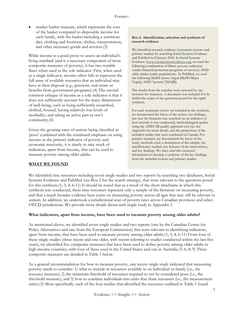market basket measure, which represents the cost of the basket compared to disposable income for each family, with the basket including a nutritious diet, clothing and footwear, shelter, transportation, and other necessary goods and services.(5)

While income is a good proxy to assess an individual's living standard (and is a necessary component of most composite measures of poverty), it has two notable flaws when used as the sole indicator. First, when used as a single indicator, income often fails to represent the full array of available resources that an individual may have at their disposal (e.g., pensions, real estate or benefits from government programs).(4) The second common critique of income as a sole indicator is that it does not sufficiently account for the many dimensions of well-being, such as being sufficiently nourished, clothed, housed, having relatively low levels of morbidity, and taking an active part in one's community.(4)

Given the growing rates of seniors being classified as 'poor' combined with the continued emphasis on using income as the primary indicator of poverty and economic insecurity, it is timely to take stock of indicators, apart from income, that can be used to measure poverty among older adults.

#### **Box 2: Identification, selection and synthesis of research evidence**

We identified research evidence (systematic reviews and primary studies) by searching Social Systems Evidence and PubMed in February 2018. In Social Systems Evidence [\(www.socialsystemsevidence.org\)](http://www.socialsystemsevidence.org)/) we used the following combination of filters: poverty reduction (under financial protection programs or services) AND older adults (under populations). In PubMed, we used the following MeSH terms: (Aged [MeSH Major Topic]) AND "poverty"[MAJR].

The results from the searches were assessed by one reviewer for inclusion. A document was included if it fit within the scope of the questions posed for the rapid synthesis.

For each systematic review we included in the synthesis, we documented the focus of the review, key findings, last year the literature was searched (as an indicator of how recently it was conducted), methodological quality using the AMSTAR quality appraisal tool (see the Appendix for more detail), and the proportion of the included studies that were conducted in Canada. For primary research, we documented the focus of the study, methods used, a description of the sample, the jurisdiction(s) studied, key features of the intervention, and key findings. We then used this extracted information to develop a synthesis of the key findings from the included reviews and primary studies.

#### **WHAT WE FOUND**

We identified nine resources including seven single studies and two reports by searching two databases, Social Systems Evidence and PubMed (see Box 2 for the search strategy), that were relevant to the questions posed for this synthesis.(1; 3; 4; 6-11) It should be noted that as a result of the short timeframe in which this synthesis was conducted, these nine resources represent only a sample of the literature on measuring poverty, and that a much broader evidence base exists on measuring poverty across all ages that may still be relevant to seniors. In addition, we undertook a jurisdictional scan of poverty rates across Canadian provinces and select OECD jurisdictions. We provide more details about each single study in Appendix 1.

#### **What indicators, apart from income, have been used to measure poverty among older adults?**

As mentioned above, we identified seven single studies and two reports (one by the Canadian Centre for Policy Alternatives and one from the European Commission) that were relevant to identifying indicators, apart from income, that have been used to measure poverty among older adults.(1; 3; 4; 6-11) From four of these single studies (three recent and one older, with recent referring to studies conducted within the last five years), we identified five composite measures that have been used to define poverty among older adults in high-income countries, with four of these used in the United States and one in Australia.(3; 6; 8; 9) These composite measures are detailed in Table 1 below.

As a general recommendation for how to measure poverty, one recent single study indicated that measuring poverty needs to consider: 1) what to include in resources available to an individual or family (i.e., the resource measure); 2) the minimum threshold of resources required to not be considered poor (i.e., the threshold measure); and 3) how to combine individuals into units that share resources (i.e., the measurement units).(3) More specifically, each of the four studies that identified the measures outlined in Table 1 found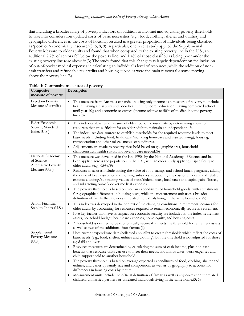that including a broader range of poverty indicators (in addition to income) and adjusting poverty thresholds to take into consideration updated costs of basic necessities (e.g., food, clothing, shelter and utilities) and geographic differences in the costs of housing, resulted in a greater proportion of individuals being classified as 'poor' or 'economically insecure.'(3; 6; 8; 9) In particular, one recent study applied the Supplemental Poverty Measure to older adults and found that when compared to the existing poverty line in the U.S., an additional 7.7% of seniors fell below the poverty line, and 1.4% of those classified as being poor under the existing poverty line rose above it.(3) The study found that this change was largely dependent on the inclusion of out-of-pocket medical expenses in calculating an individual's level of resources, while the addition of noncash transfers and refundable tax credits and housing subsidies were the main reasons for some moving above the poverty line.(3)

| Composite<br>measure of poverty                       | Description                                                                                                                                                                                                                                                                                                                                                           |
|-------------------------------------------------------|-----------------------------------------------------------------------------------------------------------------------------------------------------------------------------------------------------------------------------------------------------------------------------------------------------------------------------------------------------------------------|
| Freedom Poverty<br>Measure (Australia)                | This measure from Australia expands on using only income as a measure of poverty to include:<br>$\bullet$<br>health (having a disability and poor health utility score); education (having completed school<br>until year 10); and economic resources (income relative to 50% of median income poverty<br>$line).$ (8)                                                |
| Elder Economic<br>Security Standard                   | This index establishes a measure of elder economic insecurity by determining a level of<br>$\bullet$<br>resources that are sufficient for an older adult to maintain an independent life.                                                                                                                                                                             |
| Index (U.S.)                                          | The index uses data sources to establish thresholds for the required resource levels to meet<br>$\bullet$<br>basic needs including food, healthcare (including homecare and assisted living), housing,<br>transportation and other miscellaneous expenditures.                                                                                                        |
|                                                       | Adjustments are made to poverty threshold based on geographic area, household<br>characteristics, health status, and level of care needed.(6)                                                                                                                                                                                                                         |
| National Academy<br>of Science<br>Alternative Poverty | This measure was developed in the late 1990s by the National Academy of Science and has<br>$\bullet$<br>been applied across the population in the U.S., with an older study applying it specifically to<br>older adults (e.g., 65+).(9)                                                                                                                               |
| Measure (U.S.)                                        | Resource measures include adding the value of food stamps and school lunch programs, adding<br>$\bullet$<br>the value of heat assistance and housing subsidies, subtracting the cost of childcare and related<br>expenses, adding/subtracting values of state/federal taxes, local taxes and capital gains/losses,<br>and subtracting out-of-pocket medical expenses. |
|                                                       | The poverty threshold is based on median expenditures of household goods, with adjustments<br>$\bullet$<br>for geographic differences in housing costs, while the measurement unit uses a broader<br>definition of family that includes unrelated individuals living in the same household.(9)                                                                        |
| Senior Financial<br>Stability Index (U.S.)            | This index was developed in the context of the changing conditions in retirement incomes for<br>$\bullet$<br>older adults by accounting for resources required to remain economically secure in retirement.                                                                                                                                                           |
|                                                       | Five key factors that have an impact on economic security are included in the index: retirement<br>assets, household budget, healthcare expenses, home equity, and housing costs.                                                                                                                                                                                     |
|                                                       | A household is deemed to be economically secure if it meets the threshold for retirement assets<br>$\bullet$<br>as well as two of the additional four factors.(6)                                                                                                                                                                                                     |
| Supplemental<br>Poverty Measure<br>(U.S.)             | Uses current expenditure data (collected annually) to create thresholds which reflect the costs of<br>$\bullet$<br>basic needs (e.g., food, shelter, utilities and clothing), but the threshold is not adjusted for those<br>aged 65 and over.                                                                                                                        |
|                                                       | Resource measures are determined by calculating the sum of cash income, plus non-cash<br>benefits that resource units can use to meet their needs, and minus taxes, work expenses and<br>child support paid to another household.                                                                                                                                     |
|                                                       | The poverty threshold is based on average expected expenditures of food, clothing, shelter and<br>$\bullet$<br>utilities, and varies by family size and composition, as well as by geography to account for<br>differences in housing costs by tenure.                                                                                                                |
|                                                       | Measurement units include the official definition of family as well as any co-resident unrelated<br>children, unmarried partners or unrelated individuals living in the same home.(3; 6)                                                                                                                                                                              |

| Table 1: Composite measures of poverty |          |  |
|----------------------------------------|----------|--|
| $C$ and $\mathbb{R}$ and $\mathbb{R}$  | $\Gamma$ |  |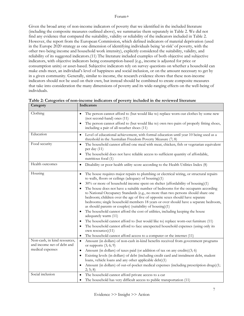Given the broad array of non-income indicators of poverty that we identified in the included literature (including the composite measures outlined above), we summarize them separately in Table 2. We did not find any evidence that compared the suitability, validity or reliability of the indicators included in Table 2. However, the report from the European Commission, which defined indicators of material deprivation (used in the Europe 2020 strategy as one dimension of identifying individuals being 'at-risk' of poverty, with the other two being income and household work intensity), explicitly considered the suitability, validity, and reliability of its suggested indicators.(11) The literature included examples of both objective and subjective indicators, with objective indicators being consumption-based (e.g., income is adjusted for price or consumption units) or asset-based. Subjective indicators rely on survey questions on whether a household can make ends meet, an individual's level of happiness and social inclusion, or on the amount necessary to get by in a given community. Generally, similar to income, the research evidence shows that these non-income indicators should not be used on their own, but instead should be combined to create composite measures that take into consideration the many dimensions of poverty and its wide-ranging effects on the well-being of individuals.

| Category                                                   | Indicators                                                                                                                                                                                                                                                                                                                                                                                                 |
|------------------------------------------------------------|------------------------------------------------------------------------------------------------------------------------------------------------------------------------------------------------------------------------------------------------------------------------------------------------------------------------------------------------------------------------------------------------------------|
| Clothing                                                   | The person cannot afford to (but would like to) replace worn-out clothes by some new<br>(not second-hand) ones (11)<br>The person cannot afford to (but would like to) own two pairs of properly fitting shoes,                                                                                                                                                                                            |
|                                                            | including a pair of all-weather shoes (11)                                                                                                                                                                                                                                                                                                                                                                 |
| Education                                                  | Level of educational achievement, with formal education until year 10 being used as a<br>threshold in the Australian Freedom Poverty Measure (7; 8)                                                                                                                                                                                                                                                        |
| Food security                                              | The household cannot afford one meal with meat, chicken, fish or vegetarian equivalent<br>per day (11)                                                                                                                                                                                                                                                                                                     |
|                                                            | The household does not have reliable access to sufficient quantity of affordable,<br>nutritious food (1)                                                                                                                                                                                                                                                                                                   |
| Health outcomes                                            | Disability or poor health utility score according to the Health Utilities Index (8)                                                                                                                                                                                                                                                                                                                        |
| Housing                                                    | The house requires major repairs to plumbing or electrical wiring, or structural repairs<br>$\bullet$<br>to walls, floors or ceilings (adequacy of housing)(1)                                                                                                                                                                                                                                             |
|                                                            | 30% or more of household income spent on shelter (affordability of housing)(1)                                                                                                                                                                                                                                                                                                                             |
|                                                            | The house does not have a suitable number of bedrooms for the occupants according<br>to National Occupancy Standards (e.g., no more than two persons should share one<br>bedroom; children over the age of five of opposite sexes should have separate<br>bedrooms; single household members 18 years or over should have a separate bedroom,<br>as should parents or couples) (suitability of housing)(1) |
|                                                            | The household cannot afford the cost of utilities, including keeping the house<br>adequately warm (11)                                                                                                                                                                                                                                                                                                     |
|                                                            | The household cannot afford to (but would like to) replace worn-out furniture (11)                                                                                                                                                                                                                                                                                                                         |
|                                                            | The household cannot afford to face unexpected household expenses (using only its<br>own resources)(11)                                                                                                                                                                                                                                                                                                    |
|                                                            | The household cannot afford access to a computer or the internet (11)<br>$\bullet$                                                                                                                                                                                                                                                                                                                         |
| Non-cash, in kind resources,<br>and income net of debt and | Amount (in dollars) of non-cash in-kind benefits received from government programs<br>$\bullet$<br>or supports $(3; 6; 9)$                                                                                                                                                                                                                                                                                 |
| medical expenses                                           | Amount (in dollars) of taxes paid (or addition of tax on any credits)(3; 6)                                                                                                                                                                                                                                                                                                                                |
|                                                            | Existing levels (in dollars) of debt (including credit card and instalment debt, student<br>loans, vehicle loans and any other applicable debt)(1)                                                                                                                                                                                                                                                         |
|                                                            | Amount (in dollars) of out-of-pocket medical expenses (including prescription drugs)(1;<br>2; 5; 8)                                                                                                                                                                                                                                                                                                        |
| Social inclusion                                           | The household cannot afford private access to a car                                                                                                                                                                                                                                                                                                                                                        |
|                                                            | The household has very difficult access to public transportation (11)<br>٠                                                                                                                                                                                                                                                                                                                                 |

|  |  |  | Table 2: Categories of non-income indicators of poverty included in the reviewed literature |  |  |  |  |  |  |
|--|--|--|---------------------------------------------------------------------------------------------|--|--|--|--|--|--|
|  |  |  |                                                                                             |  |  |  |  |  |  |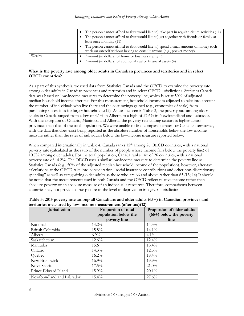|        | • The person cannot afford to (but would like to) take part in regular leisure activities (11) |
|--------|------------------------------------------------------------------------------------------------|
|        | The person cannot afford to (but would like to) get together with friends or family at         |
|        | least once monthly (11)                                                                        |
|        | The person cannot afford to (but would like to) spend a small amount of money each             |
|        | week on oneself without having to consult anyone (e.g., pocket money)                          |
| Wealth | Amount (in dollars) of home or business equity (3)                                             |
|        | Amount (in dollars) of additional real or financial assets (4)                                 |

#### **What is the poverty rate among older adults in Canadian provinces and territories and in select OECD countries?**

As a part of this synthesis, we used data from Statistics Canada and the OECD to examine the poverty rate among older adults in Canadian provinces and territories and in select OECD jurisdictions. Statistics Canada data was based on low-income measures to determine the poverty line, which is set at 50% of adjusted median household income after tax. For this measurement, household income is adjusted to take into account the number of individuals who live there and the cost savings gained (e.g., economies of scale) from purchasing necessities for larger households.(12) As can be seen in Table 3, the poverty rate among older adults in Canada ranged from a low of 4.1% in Alberta to a high of 27.6% in Newfoundland and Labrador. With the exception of Ontario, Manitoba and Alberta, the poverty rate among seniors is higher across provinces than that of the total population. We were unable to find comparable rates for Canadian territories, with the data that does exist being reported as the absolute number of households below the low-income measure rather than the rates of individuals below the low-income measure reported below.

When compared internationally in Table 4, Canada ranks 12<sup>th</sup> among 26 OECD countries, with a national poverty rate (calculated as the ratio of the number of people whose income falls below the poverty line) of 10.7% among older adults. For the total population, Canada ranks 14th of 26 countries, with a national poverty rate of 14.2%. The OECD uses a similar low-income measure to determine the poverty line as Statistics Canada (e.g., 50% of the adjusted median household income of the population), however, after-tax calculations at the OECD take into consideration "social insurance contributions and other non-discretionary spending" as well as categorizing older adults as those who are 66 and above rather than 65.(13; 14) It should be noted that the measurements used in both Canada and the OECD reflect relative income rather than absolute poverty or an absolute measure of an individual's resources. Therefore, comparisons between countries may not provide a true picture of the level of deprivation in a given jurisdiction.

| Jurisdiction              | Proportion of total<br>population below the | Proportion of older adults<br>$(65+)$ below the poverty |  |  |
|---------------------------|---------------------------------------------|---------------------------------------------------------|--|--|
|                           | poverty line                                | line                                                    |  |  |
| National                  | $14.2\%$                                    | $14.3\%$                                                |  |  |
| British Columbia          | 15.8%                                       | $14.1\%$                                                |  |  |
| Alberta                   | $6.9\%$                                     | $4.1\%$                                                 |  |  |
| Saskatchewan              | $12.6\%$                                    | $12.4\%$                                                |  |  |
| Manitoba                  | 15.6                                        | $13.4\%$                                                |  |  |
| Ontario                   | $14.3\%$                                    | $12.5\%$                                                |  |  |
| Quebec                    | $16.2\%$                                    | $18.4\%$                                                |  |  |
| New Brunswick             | $16.9\%$                                    | $19.9\%$                                                |  |  |
| Nova Scotia               | $17.5\%$                                    | $21.0\%$                                                |  |  |
| Prince Edward Island      | $15.9\%$                                    | $20.1\%$                                                |  |  |
| Newfoundland and Labrador | $15.4\%$                                    | 27.6%                                                   |  |  |

| Table 3: 2015 poverty rate among all Canadians and older adults (65+) in Canadian provinces and |  |
|-------------------------------------------------------------------------------------------------|--|
| territories measured by low-income measurement (after tax)(12)                                  |  |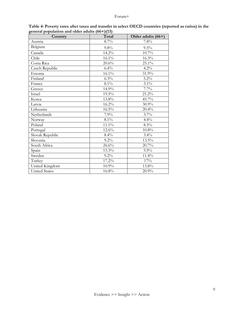| Country              | Total   | Older adults (66+) |
|----------------------|---------|--------------------|
| Austria              | 8.7%    | 7.8%               |
| Belgium              | 9.8%    | $9.5\%$            |
| Canada               | 14.2%   | 10.7%              |
| Chile                | 16.1%   | 16.3%              |
| Costa Rica           | 20.6%   | 25.1%              |
| Czech Republic       | 6.4%    | 4.2%               |
| Estonia              | 16.1%   | 31.9%              |
| Finland              | 6.3%    | 5.2%               |
| France               | $8.1\%$ | 3.1%               |
| Greece               | 14.9%   | 7.7%               |
| Israel               | 19.5%   | 21.2%              |
| Korea                | 13.8%   | 45.7%              |
| Latvia               | 16.2%   | 30.9%              |
| Lithuania            | 16.5%   | 20.4%              |
| Netherlands          | 7.9%    | 3.7%               |
| Norway               | 8.1%    | 4.4%               |
| Poland               | 11.1%   | 8.5%               |
| Portugal             | 12.6%   | $10.8\%$           |
| Slovak Republic      | 8.4%    | 3.4%               |
| Slovenia             | 9.2%    | 13.5%              |
| South Africa         | 26.6%   | 20.7%              |
| Spain                | 15.3%   | 5.9%               |
| Sweden               | 9.2%    | 11.4%              |
| Turkey               | 17.2%   | 17%                |
| United Kingdom       | 10.9%   | 13.8%              |
| <b>United States</b> | 16.8%   | 20.9%              |

**Table 4: Poverty rates after taxes and transfer in select OECD countries (reported as ratios) in the general population and older adults (66+)(13)**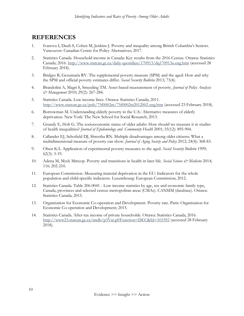### **REFERENCES**

- 1. Ivanova I, Daub S, Cohen M, Jenkins J. Poverty and inequality among British Columbia's Seniors. Vancouver: Canadian Centre for Policy Alternatives; 2017.
- 2. Statistics Canada. Household income in Canada: Key results from the 2016 Census. Ottawa: Statistics Canada; 2016.<http://www.statcan.gc.ca/daily-quotidien/170913/dq170913a-eng.htm> (accessed 28 February 2018).
- 3. Bridges B, Gesumaria RV. The supplemental poverty measure (SPM) and the aged: How and why the SPM and official poverty estimates differ. *Social Security Bulletin* 2013; 73(4).
- 4. Brandolini A, Magri S, Smeeding TM. Asset-based measurement of poverty. *Journal of Policy Analysis & Management* 2010; 29(2): 267-284.
- 5. Statistics Canada. Low income lines. Ottawa: Statistics Canada; 2011. <http://www.statcan.gc.ca/pub/75f0002m/75f0002m2012002-eng.htm> (accessed 23 February 2018).
- 6. Borrowman M. Understanding elderly poverty in the U.S.: Alternative measures of elderly deprivation. New York: The New School for Social Research; 2013.
- 7. Grundy E, Holt G. The socioeconomic status of older adults: How should we measure it in studies of health inequalities? *Journal of Epidemiology and Community Health* 2001; 55(12): 895-904.
- 8. Callander EJ, Schofield DJ, Shrestha RN. Multiple disadvantages among older citizens: What a multidimensional measure of poverty can show. *Journal of Aging Society and Policy* 2012; 24(4): 368-83.
- 9. Olsen KA. Application of experimental poverty measures to the aged. *Social Security Bulletin* 1999; 62(3): 3-19.
- 10. Adena M, Myck Mmcop. Poverty and transitions in health in later life. *Social Science & Medicine* 2014; 116: 202-210.
- 11. European Commission. Measuring material deprivation in the EU: Indicators for the whole population and child-specific indicators. Luxembourg: European Commission; 2012.
- 12. Statistics Canada. Table 206-0041 Low income statistics by age, sex and economic family type, Canada, provinces and selected census metropolitan areas (CMAs). CANSIM (database). Ottawa: Statistics Canada; 2015.
- 13. Organisation for Economic Co-operation and Development. Poverty rate. Paris: Organisation for Economic Co-operation and Development; 2015.
- 14. Statistics Canada. After-tax income of private households. Ottawa: Statistics Canada; 2016. <http://www23.statcan.gc.ca/imdb/p3Var.pl?Function=DEC&Id=103392> (accessed 28 February 2018).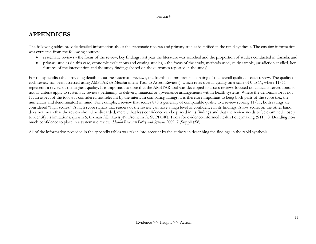## **APPENDICES**

The following tables provide detailed information about the systematic reviews and primary studies identified in the rapid synthesis. The ensuing information was extracted from the following sources:

- systematic reviews the focus of the review, key findings, last year the literature was searched and the proportion of studies conducted in Canada; and
- primary studies (in this case, economic evaluations and costing studies) the focus of the study, methods used, study sample, jurisdiction studied, key features of the intervention and the study findings (based on the outcomes reported in the study).

For the appendix table providing details about the systematic reviews, the fourth column presents a rating of the overall quality of each review. The quality of each review has been assessed using AMSTAR (A MeaSurement Tool to Assess Reviews), which rates overall quality on a scale of 0 to 11, where 11/11 represents a review of the highest quality. It is important to note that the AMSTAR tool was developed to assess reviews focused on clinical interventions, so not all criteria apply to systematic reviews pertaining to delivery, financial or governance arrangements within health systems. Where the denominator is not 11, an aspect of the tool was considered not relevant by the raters. In comparing ratings, it is therefore important to keep both parts of the score (i.e., the numerator and denominator) in mind. For example, a review that scores 8/8 is generally of comparable quality to a review scoring 11/11; both ratings are considered "high scores." A high score signals that readers of the review can have a high level of confidence in its findings. A low score, on the other hand, does not mean that the review should be discarded, merely that less confidence can be placed in its findings and that the review needs to be examined closely to identify its limitations. (Lewin S, Oxman AD, Lavis JN, Fretheim A. SUPPORT Tools for evidence-informed health Policymaking (STP): 8. Deciding how much confidence to place in a systematic review. *Health Research Policy and Systems* 2009; 7 (Suppl1):S8).

All of the information provided in the appendix tables was taken into account by the authors in describing the findings in the rapid synthesis.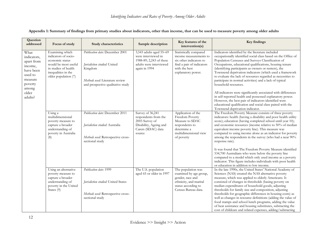| Question<br>addressed                                                                                                   | Focus of study                                                                                                                                            | Study characteristics                                                                                                                              | Sample description                                                                                                    | Key features of the<br>intervention(s)                                                                                                          | Key findings                                                                                                                                                                                                                                                                                                                                                                                                                                                                                                                                                                                                                                                                                                                                                                                  |
|-------------------------------------------------------------------------------------------------------------------------|-----------------------------------------------------------------------------------------------------------------------------------------------------------|----------------------------------------------------------------------------------------------------------------------------------------------------|-----------------------------------------------------------------------------------------------------------------------|-------------------------------------------------------------------------------------------------------------------------------------------------|-----------------------------------------------------------------------------------------------------------------------------------------------------------------------------------------------------------------------------------------------------------------------------------------------------------------------------------------------------------------------------------------------------------------------------------------------------------------------------------------------------------------------------------------------------------------------------------------------------------------------------------------------------------------------------------------------------------------------------------------------------------------------------------------------|
| What<br>indicators,<br>apart from<br>income,<br>have been<br>used to<br>measure<br>poverty<br>among<br>older<br>adults? | Examining which<br>indicators of socio-<br>economic status<br>would be most useful<br>in studies of health<br>inequalities in the<br>older population (7) | Publication date: December 2001<br>Jurisdiction studied: United<br>Kingdom<br>Methods used: Literature review<br>and prospective qualitative study | 3,543 adults aged 55-69<br>were interviewed in<br>1988-89; 2,243 of these<br>adults were interviewed<br>again in 1994 | Statistically compared<br>income measurements to<br>six other indicators to<br>find a pair of indicators<br>with the best<br>explanatory power. | Indicators identified by the literature included<br>occupationally identified social class based on the Office of<br>Population Censuses and Surveys Classification of<br>Occupations, educational qualifications, housing tenure<br>(identifying participants as owners or renters), the<br>Townsend deprivation indicators (which used a framework<br>to evaluate the lack of resources regarded as necessities to<br>participate in normal activities) and a lack of typical<br>household resources.<br>All indicators were significantly associated with differences<br>in self-reported health and possessed explanatory power.<br>However, the best pair of indicators identified were<br>educational qualification and social class paired with the<br>Townsend deprivation indicator. |
|                                                                                                                         | Using a<br>multidimensional<br>poverty measure to<br>capture a broader<br>understanding of<br>poverty in Australia<br>(8)                                 | Publication date: December 2011<br>Jurisdiction studied: Australia<br>Methods used: Retrospective cross-<br>sectional study                        | Survey of 36,241<br>respondents from the<br>2003 Survey of<br>Disability, Ageing and<br>Carers (SDAC) data<br>source  | Application of the<br>Freedom Poverty<br>Measure to SDAC<br>respondents to<br>determine a<br>multidimensional view<br>of poverty                | The Freedom Poverty Measure consists of three poverty<br>indicators: health (having a disability and poor health utility<br>score); education (having completed school until year 10);<br>and economic resources (income relative to 50% of median<br>equivalent income poverty line). This measure was<br>compared to using income alone as an indicator for poverty<br>among the respondents in the survey (who had a near 90%<br>response rate).<br>It was found that The Freedom Poverty Measure identified<br>534,700 Australians who were below the poverty line<br>compared to a model which only used income as a poverty<br>indicator. This figure includes individuals with poor health<br>or education in addition to low income.                                                  |
|                                                                                                                         | Using an alternative<br>poverty measure to<br>capture a broader<br>understanding of<br>poverty in the United<br>States (9)                                | Publication date: 1999<br>Jurisdiction studied: United States<br>Methods used: Retrospective cross-<br>sectional study                             | The U.S. population<br>aged 65 or older in 1997                                                                       | The population was<br>examined by age group,<br>gender, race and<br>ethnicity, and marital<br>status according to<br>Census Bureau data.        | In the late 1990s, the United States' National Academy of<br>Sciences (NAS) created the NAS alternative poverty<br>measure, which was applied to elderly Americans. It<br>consisted of changes in thresholds (basing poverty on<br>median expenditures of household goods, adjusting<br>thresholds for family size and composition, adjusting<br>thresholds for geographic differences in housing costs) as<br>well as changes in resource definitions (adding the value of<br>food stamps and school lunch programs, adding the value<br>of heat assistance and housing substitutes, subtracting the<br>cost of childcare and related expenses, adding/subtracting                                                                                                                           |

**Appendix 1: Summary of findings from primary studies about indicators, other than income, that can be used to measure poverty among older adults**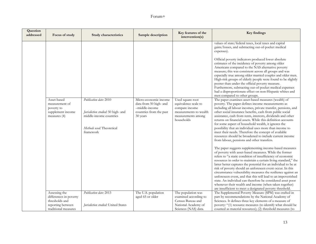| Question<br>addressed | Focus of study                                                                                    | Study characteristics                                                                                                                                       | Sample description                                                                                                              | Key features of the<br>intervention(s)                                                                                                         | Key findings                                                                                                                                                                                                                                                                                                                                                                                                                                                                                                                                                                                                                                                                                                                                                                                                                                                                                                                                                                                                                                                                                                                                                                                                                                                                                                                                                                                                                                                                                                                                                                                                                                                                                                                                                                                                                                                                                                                                                                                                                                                                                                                 |
|-----------------------|---------------------------------------------------------------------------------------------------|-------------------------------------------------------------------------------------------------------------------------------------------------------------|---------------------------------------------------------------------------------------------------------------------------------|------------------------------------------------------------------------------------------------------------------------------------------------|------------------------------------------------------------------------------------------------------------------------------------------------------------------------------------------------------------------------------------------------------------------------------------------------------------------------------------------------------------------------------------------------------------------------------------------------------------------------------------------------------------------------------------------------------------------------------------------------------------------------------------------------------------------------------------------------------------------------------------------------------------------------------------------------------------------------------------------------------------------------------------------------------------------------------------------------------------------------------------------------------------------------------------------------------------------------------------------------------------------------------------------------------------------------------------------------------------------------------------------------------------------------------------------------------------------------------------------------------------------------------------------------------------------------------------------------------------------------------------------------------------------------------------------------------------------------------------------------------------------------------------------------------------------------------------------------------------------------------------------------------------------------------------------------------------------------------------------------------------------------------------------------------------------------------------------------------------------------------------------------------------------------------------------------------------------------------------------------------------------------------|
|                       | Asset-based<br>measurement of<br>poverty to<br>supplement income<br>measures (4)<br>Assessing the | Publication date: 2010<br>Jurisdiction studied: 50 high- and<br>middle-income countries<br>Methods used: Theoretical<br>framework<br>Publication date: 2013 | Micro-economic income<br>data from 50 high- and<br>-middle-income<br>countries from the past<br>30 years<br>The U.S. population | Used square root<br>equivalence scale to<br>compare income<br>measurements to wealth<br>measurements among<br>households<br>The population was | values of state/federal taxes, local taxes and capital<br>gains/losses, and subtracting out-of-pocket medical<br>expenses).<br>Official poverty indicators produced lower absolute<br>estimates of the incidence of poverty among older<br>Americans compared to the NAS alternative poverty<br>measure; this was consistent across all groups and was<br>especially true among older married couples and older men.<br>High-risk groups of elderly people were found to be slightly<br>poorer than under the official poverty measure.<br>Furthermore, subtracting out-of-pocket medical expenses<br>had a disproportionate effect on non-Hispanic whites and<br>men compared to other groups.<br>The paper examines asset-based measures (wealth) of<br>poverty. The paper defines income measurements as<br>including all labour incomes, private transfer, pensions, and<br>other social insurance benefits, cash from public social<br>assistance, cash from rents, interests, dividends and other<br>returns on financial assets. While this definition accounts<br>for some aspect of household wealth, it ignores the<br>possibility that an individual uses more than income to<br>meet their needs. Therefore the concept of available<br>resources should be broadened to include current income<br>from labour, pensions and other transfers.<br>The paper suggests supplementing income-based measures<br>of poverty with asset-based measures. While the former<br>refers to "a static condition of insufficiency of economic<br>resources in order to maintain a certain living standard," the<br>latter better captures the potential for an individual to be at<br>risk of poverty should an unforeseen event occur. In this<br>circumstance vulnerability measures the resilience against an<br>unforeseen event, and that this will lead to an impoverished<br>state. An individual can therefore be considered asset poor<br>whenever their wealth and income (when taken together)<br>are insufficient to meet a designated poverty threshold.<br>The Supplemental Poverty Measure (SPM) was crafted in |
|                       | differences in poverty<br>thresholds and<br>reporting between<br>traditional measures             | Jurisdiction studied: United States                                                                                                                         | aged 65 or older                                                                                                                | examined according to<br>Census Bureau and<br>National Academy of<br>Sciences (NAS) data.                                                      | part by recommendations by the National Academy of<br>Sciences. It defines three key elements of a measure of<br>poverty: "(1) resource measures (to identify what should be<br>counted as material resources); (2) threshold measures (to                                                                                                                                                                                                                                                                                                                                                                                                                                                                                                                                                                                                                                                                                                                                                                                                                                                                                                                                                                                                                                                                                                                                                                                                                                                                                                                                                                                                                                                                                                                                                                                                                                                                                                                                                                                                                                                                                   |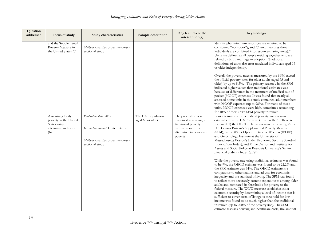| Question<br>addressed | Focus of study                                                                             | <b>Study characteristics</b>                                                                                           | Sample description                      | Key features of the<br>intervention(s)                                                                                            | <b>Key findings</b>                                                                                                                                                                                                                                                                                                                                                                                                                                                                                                                                                                                                                                                                                                                                                                      |
|-----------------------|--------------------------------------------------------------------------------------------|------------------------------------------------------------------------------------------------------------------------|-----------------------------------------|-----------------------------------------------------------------------------------------------------------------------------------|------------------------------------------------------------------------------------------------------------------------------------------------------------------------------------------------------------------------------------------------------------------------------------------------------------------------------------------------------------------------------------------------------------------------------------------------------------------------------------------------------------------------------------------------------------------------------------------------------------------------------------------------------------------------------------------------------------------------------------------------------------------------------------------|
|                       | and the Supplemental<br>Poverty Measure in<br>the United States (3)                        | Methods used: Retrospective cross-<br>sectional study                                                                  |                                         |                                                                                                                                   | identify what minimum resources are required to be<br>considered "non-poor"); and (3) unit measures (how<br>individuals are combined into resource-sharing units)."<br>Units are defined as all people residing together who are<br>related by birth, marriage or adoption. Traditional<br>definitions of units also treat unrelated individuals aged 15<br>or older independently.                                                                                                                                                                                                                                                                                                                                                                                                      |
|                       |                                                                                            |                                                                                                                        |                                         |                                                                                                                                   | Overall, the poverty rates as measured by the SPM exceed<br>the official poverty rates for older adults (aged 65 and<br>older) by up to 8.3%. The primary reason why the SPM<br>indicated higher values than traditional estimates was<br>because of differences in the treatment of medical-out-of-<br>pocket (MOOP) expenses. It was found that nearly all<br>assessed home units in this study contained adult members<br>with MOOP expenses (up to 98%). For many of these<br>units, MOOP expenses were high, sometimes accounting<br>for 40% of their unit's SPM poverty threshold.                                                                                                                                                                                                 |
|                       | Assessing elderly<br>poverty in the United<br>States using<br>alternative indicator<br>(6) | Publication date: 2012<br>Jurisdiction studied: United States<br>Methods used: Retrospective cross-<br>sectional study | The U.S. population<br>aged 65 or older | The population was<br>examined according to<br>traditional poverty<br>estimates and four<br>alternative indicators of<br>poverty. | Four alternatives to the federal poverty line measure<br>established by the U.S. Census Bureau in the 1960s were<br>reviewed: 1) the OECD relative measure of poverty; 2) the<br>U.S. Census Bureau's Supplemental Poverty Measure<br>(SPM); 3) the Wider Opportunities for Women (WOW)<br>and Gerontology Institute at the University of<br>Massachusetts Boston's Elder Economic Security Standard<br>Index (Elder Index); and 4) the Demos and Institute for<br>Assets and Social Policy at Brandeis University's Senior<br>Financial Stability Index (SFSI).                                                                                                                                                                                                                         |
|                       |                                                                                            |                                                                                                                        |                                         |                                                                                                                                   | While the poverty rate using traditional estimates was found<br>to be 9%, the OECD estimate was found to be 22.2% and<br>the SPM estimate was 34%. The OECD estimate is a<br>comparator to other nations and adjusts for economic<br>inequality and the standard of living. The SPM was found<br>to reflect more accurately current expenditures among older<br>adults and compared its thresholds for poverty to the<br>federal measure. The WOW measure establishes elder<br>economic security by determining a level of income that is<br>sufficient to cover costs of living; its threshold for low<br>income was found to be much higher than the traditional<br>threshold (up to 200% of the poverty line). The SFSI<br>estimate assesses housing and healthcare costs, the amount |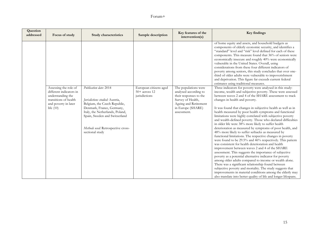| Question<br>addressed | Focus of study                                                                                                                        | Study characteristics                                                                                                                                                                                                                               | Sample description                                         | Key features of the<br>intervention(s)                                                                                                                    | Key findings                                                                                                                                                                                                                                                                                                                                                                                                                                                                                                                                                                                                                                                                                                                                                                                                                                                                                                                                                                                                                                                                                                                                                                                                                                                                                                              |
|-----------------------|---------------------------------------------------------------------------------------------------------------------------------------|-----------------------------------------------------------------------------------------------------------------------------------------------------------------------------------------------------------------------------------------------------|------------------------------------------------------------|-----------------------------------------------------------------------------------------------------------------------------------------------------------|---------------------------------------------------------------------------------------------------------------------------------------------------------------------------------------------------------------------------------------------------------------------------------------------------------------------------------------------------------------------------------------------------------------------------------------------------------------------------------------------------------------------------------------------------------------------------------------------------------------------------------------------------------------------------------------------------------------------------------------------------------------------------------------------------------------------------------------------------------------------------------------------------------------------------------------------------------------------------------------------------------------------------------------------------------------------------------------------------------------------------------------------------------------------------------------------------------------------------------------------------------------------------------------------------------------------------|
|                       |                                                                                                                                       |                                                                                                                                                                                                                                                     |                                                            |                                                                                                                                                           | of home equity and assets, and household budgets as<br>components of elderly economic security, and identifies a<br>"standard" level and "risk" level defined for each of these<br>components. This measure found that 36% of seniors were<br>economically insecure and roughly 40% were economically<br>vulnerable in the United States. Overall, using<br>considerations from these four different indicators of<br>poverty among seniors, this study concludes that over one-<br>third of older adults were vulnerable to impoverishment<br>and deprivation. This figure far exceeds current federal<br>estimates using traditional measures.                                                                                                                                                                                                                                                                                                                                                                                                                                                                                                                                                                                                                                                                          |
|                       | Assessing the role of<br>different indicators in<br>understanding the<br>transitions of health<br>and poverty in later<br>life $(10)$ | Publication date: 2014<br>Jurisdictions studied: Austria,<br>Belgium, the Czech Republic,<br>Denmark, France, Germany,<br>Italy, the Netherlands, Poland,<br>Spain, Sweden and Switzerland<br>Methods used: Retrospective cross-<br>sectional study | European citizens aged<br>$50+$ across 12<br>jurisdictions | The populations were<br>analysed according to<br>their responses to the<br>Survey of Health,<br>Ageing and Retirement<br>in Europe (SHARE)<br>assessment. | Three indicators for poverty were analysed in this study:<br>income, wealth and subjective poverty. These were assessed<br>between waves 2 and 4 of the SHARE assessment to track<br>changes in health and poverty.<br>It was found that changes in subjective health as well as in<br>health measured by poor health symptoms and functional<br>limitations were highly correlated with subjective poverty<br>and wealth-defined poverty. Those who declared difficulties<br>in older life were 38% more likely to suffer health<br>deterioration as measured by symptoms of poor health, and<br>48% more likely to suffer setbacks as measured by<br>functional limitations. The respective changes in poverty<br>were found to be 29.5% and 46% respectively. This pattern<br>was consistent for health deterioration and health<br>improvement between waves 2 and 4 of the SHARE<br>assessment. This suggests the importance of subjective<br>poverty as a potential alternative indicator for poverty<br>among older adults compared to income or wealth alone.<br>There was a significant relationship found between<br>subjective poverty and mortality. The study suggests that<br>improvements in material conditions among the elderly may<br>also translate into better quality of life and longer lifespans. |